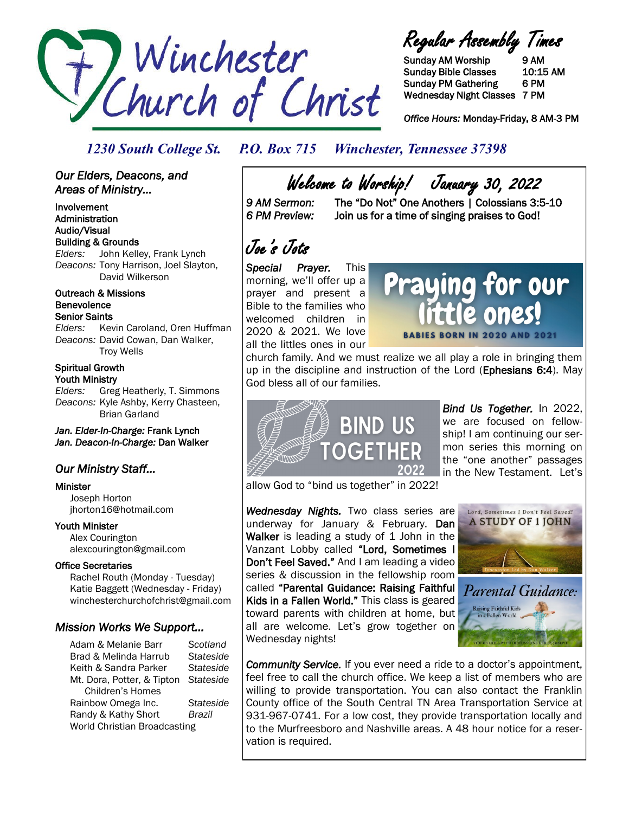

Regular Assembly Times

Sunday AM Worship 9 AM Sunday Bible Classes 10:15 AM Sunday PM Gathering 6 PM Wednesday Night Classes 7 PM

*Office Hours:* Monday-Friday, 8 AM-3 PM

## *1230 South College St. P.O. Box 715 Winchester, Tennessee 37398*

### *Our Elders, Deacons, and Areas of Ministry...*

Involvement Administration Audio/Visual Building & Grounds *Elders:* John Kelley, Frank Lynch *Deacons:* Tony Harrison, Joel Slayton, David Wilkerson

#### Outreach & Missions Benevolence Senior Saints

*Elders:* Kevin Caroland, Oren Huffman *Deacons:* David Cowan, Dan Walker, Troy Wells

#### Spiritual Growth Youth Ministry

*Elders:* Greg Heatherly, T. Simmons *Deacons:* Kyle Ashby, Kerry Chasteen, Brian Garland

*Jan. Elder-In-Charge:* Frank Lynch *Jan. Deacon-In-Charge:* Dan Walker

# *Our Ministry Staff…*

#### Minister

 Joseph Horton jhorton16@hotmail.com

### Youth Minister

 Alex Courington alexcourington@gmail.com

### Office Secretaries

 Rachel Routh (Monday - Tuesday) Katie Baggett (Wednesday - Friday) winchesterchurchofchrist@gmail.com

### *Mission Works We Support…*

Adam & Melanie Barr *Scotland* Brad & Melinda Harrub *Stateside* Keith & Sandra Parker *Stateside* Mt. Dora, Potter, & Tipton *Stateside* Children's Homes Rainbow Omega Inc. *Stateside* Randy & Kathy Short *Brazil* World Christian Broadcasting

Welcome to Worship! January 30, 2022<br>!: 9 AM Sermon: The "Do Not" One Anothers | Colossians 3

The "Do Not" One Anothers | Colossians 3:5-10 *6 PM Preview:* Join us for a time of singing praises to God!

Joe's Jots

*Special Prayer.* This morning, we'll offer up a prayer and present a Bible to the families who welcomed children in 2020 & 2021. We love all the littles ones in our



church family. And we must realize we all play a role in bringing them up in the discipline and instruction of the Lord (Ephesians 6:4). May God bless all of our families.



*Bind Us Together.* In 2022, we are focused on fellowship! I am continuing our sermon series this morning on the "one another" passages in the New Testament. Let's

allow God to "bind us together" in 2022!

*Wednesday Nights.* Two class series are underway for January & February. Dan Walker is leading a study of 1 John in the Vanzant Lobby called "Lord, Sometimes I Don't Feel Saved." And I am leading a video series & discussion in the fellowship room called "Parental Guidance: Raising Faithful Kids in a Fallen World." This class is geared toward parents with children at home, but all are welcome. Let's grow together on Wednesday nights!



Raising Faithful Kids llen World

*Community Service.* If you ever need a ride to a doctor's appointment, feel free to call the church office. We keep a list of members who are willing to provide transportation. You can also contact the Franklin County office of the South Central TN Area Transportation Service at 931-967-0741. For a low cost, they provide transportation locally and to the Murfreesboro and Nashville areas. A 48 hour notice for a reservation is required.